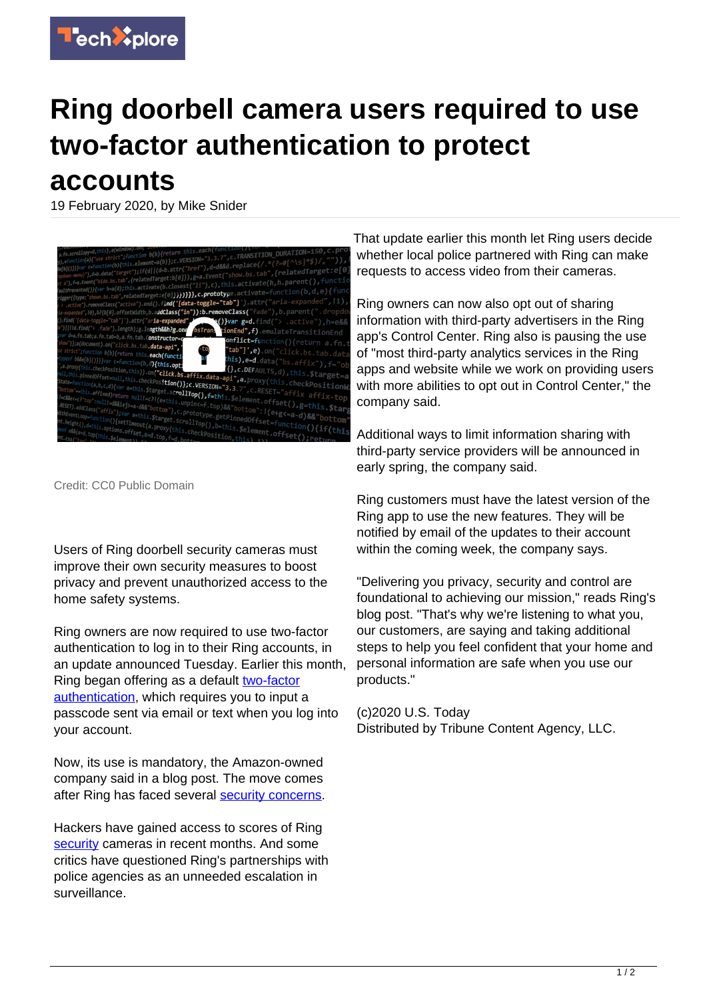

## **Ring doorbell camera users required to use two-factor authentication to protect accounts**

19 February 2020, by Mike Snider



Credit: CC0 Public Domain

Users of Ring doorbell security cameras must improve their own security measures to boost privacy and prevent unauthorized access to the home safety systems.

Ring owners are now required to use two-factor authentication to log in to their Ring accounts, in an update announced Tuesday. Earlier this month, Ring began offering as a default [two-factor](https://techxplore.com/tags/two-factor+authentication/) [authentication,](https://techxplore.com/tags/two-factor+authentication/) which requires you to input a passcode sent via email or text when you log into your account.

Now, its use is mandatory, the Amazon-owned company said in a blog post. The move comes after Ring has faced several **security concerns**.

Hackers have gained access to scores of Ring [security](https://techxplore.com/tags/security/) cameras in recent months. And some critics have questioned Ring's partnerships with police agencies as an unneeded escalation in surveillance.

That update earlier this month let Ring users decide whether local police partnered with Ring can make requests to access video from their cameras.

Ring owners can now also opt out of sharing information with third-party advertisers in the Ring app's Control Center. Ring also is pausing the use of "most third-party analytics services in the Ring apps and website while we work on providing users with more abilities to opt out in Control Center," the company said.

Additional ways to limit information sharing with third-party service providers will be announced in early spring, the company said.

Ring customers must have the latest version of the Ring app to use the new features. They will be notified by email of the updates to their account within the coming week, the company says.

"Delivering you privacy, security and control are foundational to achieving our mission," reads Ring's blog post. "That's why we're listening to what you, our customers, are saying and taking additional steps to help you feel confident that your home and personal information are safe when you use our products."

(c)2020 U.S. Today Distributed by Tribune Content Agency, LLC.